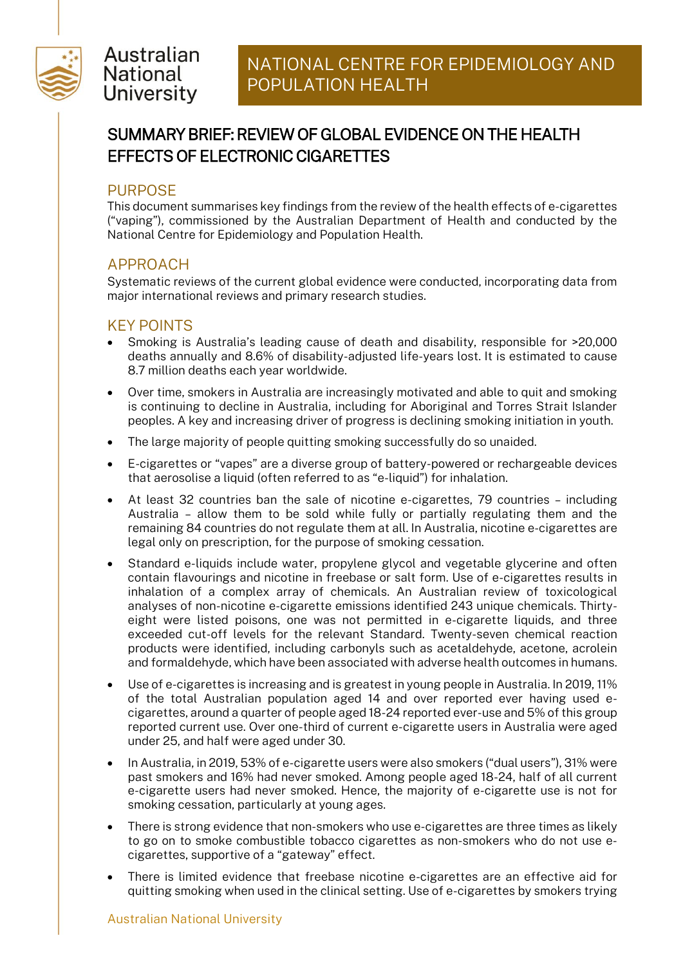

## Australian **National University**

# SUMMARY BRIEF: REVIEW OF GLOBAL EVIDENCE ON THE HEALTH EFFECTS OF ELECTRONIC CIGARETTES

#### PURPOSE

This document summarises key findings from the review of the health effects of e-cigarettes ("vaping"), commissioned by the Australian Department of Health and conducted by the National Centre for Epidemiology and Population Health.

### APPROACH

Systematic reviews of the current global evidence were conducted, incorporating data from major international reviews and primary research studies.

#### KEY POINTS

- Smoking is Australia's leading cause of death and disability, responsible for >20,000 deaths annually and 8.6% of disability-adjusted life-years lost. It is estimated to cause 8.7 million deaths each year worldwide.
- Over time, smokers in Australia are increasingly motivated and able to quit and smoking is continuing to decline in Australia, including for Aboriginal and Torres Strait Islander peoples. A key and increasing driver of progress is declining smoking initiation in youth.
- The large majority of people quitting smoking successfully do so unaided.
- E-cigarettes or "vapes" are a diverse group of battery-powered or rechargeable devices that aerosolise a liquid (often referred to as "e-liquid") for inhalation.
- At least 32 countries ban the sale of nicotine e-cigarettes, 79 countries including Australia – allow them to be sold while fully or partially regulating them and the remaining 84 countries do not regulate them at all. In Australia, nicotine e-cigarettes are legal only on prescription, for the purpose of smoking cessation.
- Standard e-liquids include water, propylene glycol and vegetable glycerine and often contain flavourings and nicotine in freebase or salt form. Use of e-cigarettes results in inhalation of a complex array of chemicals. An Australian review of toxicological analyses of non-nicotine e-cigarette emissions identified 243 unique chemicals. Thirtyeight were listed poisons, one was not permitted in e-cigarette liquids, and three exceeded cut-off levels for the relevant Standard. Twenty-seven chemical reaction products were identified, including carbonyls such as acetaldehyde, acetone, acrolein and formaldehyde, which have been associated with adverse health outcomes in humans.
- Use of e-cigarettes is increasing and is greatest in young people in Australia. In 2019, 11% of the total Australian population aged 14 and over reported ever having used ecigarettes, around a quarter of people aged 18-24 reported ever-use and 5% of this group reported current use. Over one-third of current e-cigarette users in Australia were aged under 25, and half were aged under 30.
- In Australia, in 2019, 53% of e-cigarette users were also smokers ("dual users"), 31% were past smokers and 16% had never smoked. Among people aged 18-24, half of all current e-cigarette users had never smoked. Hence, the majority of e-cigarette use is not for smoking cessation, particularly at young ages.
- There is strong evidence that non-smokers who use e-cigarettes are three times as likely to go on to smoke combustible tobacco cigarettes as non-smokers who do not use ecigarettes, supportive of a "gateway" effect.
- There is limited evidence that freebase nicotine e-cigarettes are an effective aid for quitting smoking when used in the clinical setting. Use of e-cigarettes by smokers trying